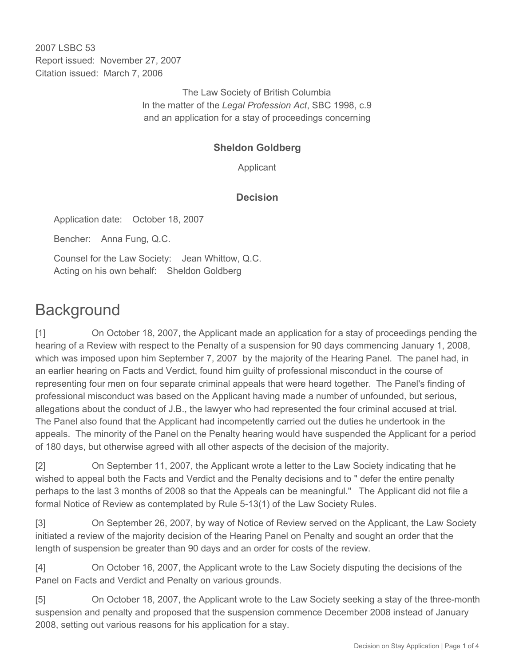2007 LSBC 53 Report issued: November 27, 2007 Citation issued: March 7, 2006

> The Law Society of British Columbia In the matter of the *Legal Profession Act*, SBC 1998, c.9 and an application for a stay of proceedings concerning

## **Sheldon Goldberg**

Applicant

## **Decision**

Application date: October 18, 2007

Bencher: Anna Fung, Q.C.

Counsel for the Law Society: Jean Whittow, Q.C. Acting on his own behalf: Sheldon Goldberg

## **Background**

[1] On October 18, 2007, the Applicant made an application for a stay of proceedings pending the hearing of a Review with respect to the Penalty of a suspension for 90 days commencing January 1, 2008, which was imposed upon him September 7, 2007 by the majority of the Hearing Panel. The panel had, in an earlier hearing on Facts and Verdict, found him guilty of professional misconduct in the course of representing four men on four separate criminal appeals that were heard together. The Panel's finding of professional misconduct was based on the Applicant having made a number of unfounded, but serious, allegations about the conduct of J.B., the lawyer who had represented the four criminal accused at trial. The Panel also found that the Applicant had incompetently carried out the duties he undertook in the appeals. The minority of the Panel on the Penalty hearing would have suspended the Applicant for a period of 180 days, but otherwise agreed with all other aspects of the decision of the majority.

[2] On September 11, 2007, the Applicant wrote a letter to the Law Society indicating that he wished to appeal both the Facts and Verdict and the Penalty decisions and to " defer the entire penalty perhaps to the last 3 months of 2008 so that the Appeals can be meaningful." The Applicant did not file a formal Notice of Review as contemplated by Rule 5-13(1) of the Law Society Rules.

[3] On September 26, 2007, by way of Notice of Review served on the Applicant, the Law Society initiated a review of the majority decision of the Hearing Panel on Penalty and sought an order that the length of suspension be greater than 90 days and an order for costs of the review.

[4] On October 16, 2007, the Applicant wrote to the Law Society disputing the decisions of the Panel on Facts and Verdict and Penalty on various grounds.

[5] On October 18, 2007, the Applicant wrote to the Law Society seeking a stay of the three-month suspension and penalty and proposed that the suspension commence December 2008 instead of January 2008, setting out various reasons for his application for a stay.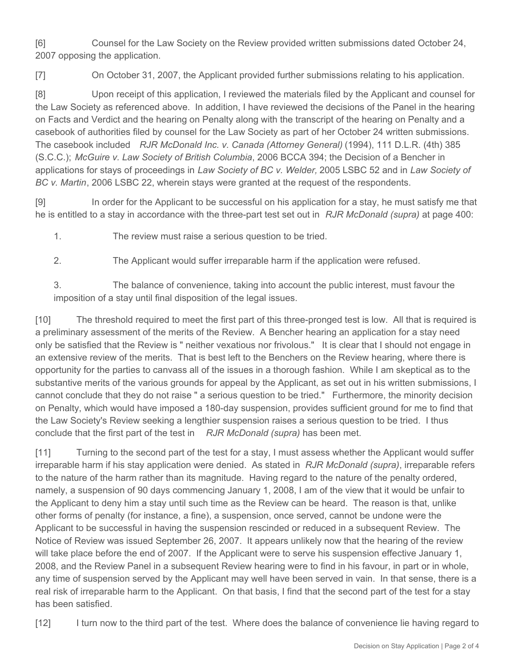[6] Counsel for the Law Society on the Review provided written submissions dated October 24, 2007 opposing the application.

[7] On October 31, 2007, the Applicant provided further submissions relating to his application.

[8] Upon receipt of this application, I reviewed the materials filed by the Applicant and counsel for the Law Society as referenced above. In addition, I have reviewed the decisions of the Panel in the hearing on Facts and Verdict and the hearing on Penalty along with the transcript of the hearing on Penalty and a casebook of authorities filed by counsel for the Law Society as part of her October 24 written submissions. The casebook included *RJR McDonald Inc. v. Canada (Attorney General)* (1994), 111 D.L.R. (4th) 385 (S.C.C.); *McGuire v. Law Society of British Columbia*, 2006 BCCA 394; the Decision of a Bencher in applications for stays of proceedings in *Law Society of BC v. Welder,* 2005 LSBC 52 and in *Law Society of BC v. Martin*, 2006 LSBC 22, wherein stays were granted at the request of the respondents.

[9] In order for the Applicant to be successful on his application for a stay, he must satisfy me that he is entitled to a stay in accordance with the three-part test set out in *RJR McDonald (supra)* at page 400:

1. The review must raise a serious question to be tried.

2. The Applicant would suffer irreparable harm if the application were refused.

3. The balance of convenience, taking into account the public interest, must favour the imposition of a stay until final disposition of the legal issues.

[10] The threshold required to meet the first part of this three-pronged test is low. All that is required is a preliminary assessment of the merits of the Review. A Bencher hearing an application for a stay need only be satisfied that the Review is " neither vexatious nor frivolous." It is clear that I should not engage in an extensive review of the merits. That is best left to the Benchers on the Review hearing, where there is opportunity for the parties to canvass all of the issues in a thorough fashion. While I am skeptical as to the substantive merits of the various grounds for appeal by the Applicant, as set out in his written submissions, I cannot conclude that they do not raise " a serious question to be tried." Furthermore, the minority decision on Penalty, which would have imposed a 180-day suspension, provides sufficient ground for me to find that the Law Society's Review seeking a lengthier suspension raises a serious question to be tried. I thus conclude that the first part of the test in *RJR McDonald (supra)* has been met.

[11] Turning to the second part of the test for a stay, I must assess whether the Applicant would suffer irreparable harm if his stay application were denied. As stated in *RJR McDonald (supra)*, irreparable refers to the nature of the harm rather than its magnitude. Having regard to the nature of the penalty ordered, namely, a suspension of 90 days commencing January 1, 2008, I am of the view that it would be unfair to the Applicant to deny him a stay until such time as the Review can be heard. The reason is that, unlike other forms of penalty (for instance, a fine), a suspension, once served, cannot be undone were the Applicant to be successful in having the suspension rescinded or reduced in a subsequent Review. The Notice of Review was issued September 26, 2007. It appears unlikely now that the hearing of the review will take place before the end of 2007. If the Applicant were to serve his suspension effective January 1, 2008, and the Review Panel in a subsequent Review hearing were to find in his favour, in part or in whole, any time of suspension served by the Applicant may well have been served in vain. In that sense, there is a real risk of irreparable harm to the Applicant. On that basis, I find that the second part of the test for a stay has been satisfied.

[12] I turn now to the third part of the test. Where does the balance of convenience lie having regard to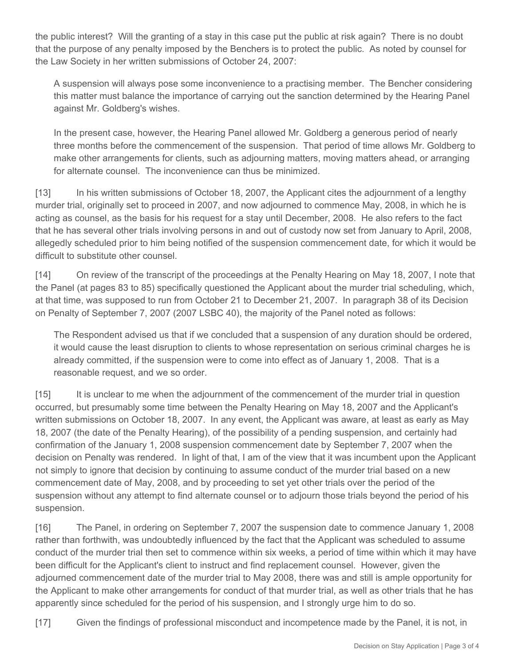the public interest? Will the granting of a stay in this case put the public at risk again? There is no doubt that the purpose of any penalty imposed by the Benchers is to protect the public. As noted by counsel for the Law Society in her written submissions of October 24, 2007:

A suspension will always pose some inconvenience to a practising member. The Bencher considering this matter must balance the importance of carrying out the sanction determined by the Hearing Panel against Mr. Goldberg's wishes.

In the present case, however, the Hearing Panel allowed Mr. Goldberg a generous period of nearly three months before the commencement of the suspension. That period of time allows Mr. Goldberg to make other arrangements for clients, such as adjourning matters, moving matters ahead, or arranging for alternate counsel. The inconvenience can thus be minimized.

[13] In his written submissions of October 18, 2007, the Applicant cites the adjournment of a lengthy murder trial, originally set to proceed in 2007, and now adjourned to commence May, 2008, in which he is acting as counsel, as the basis for his request for a stay until December, 2008. He also refers to the fact that he has several other trials involving persons in and out of custody now set from January to April, 2008, allegedly scheduled prior to him being notified of the suspension commencement date, for which it would be difficult to substitute other counsel.

[14] On review of the transcript of the proceedings at the Penalty Hearing on May 18, 2007, I note that the Panel (at pages 83 to 85) specifically questioned the Applicant about the murder trial scheduling, which, at that time, was supposed to run from October 21 to December 21, 2007. In paragraph 38 of its Decision on Penalty of September 7, 2007 (2007 LSBC 40), the majority of the Panel noted as follows:

The Respondent advised us that if we concluded that a suspension of any duration should be ordered, it would cause the least disruption to clients to whose representation on serious criminal charges he is already committed, if the suspension were to come into effect as of January 1, 2008. That is a reasonable request, and we so order.

[15] It is unclear to me when the adjournment of the commencement of the murder trial in question occurred, but presumably some time between the Penalty Hearing on May 18, 2007 and the Applicant's written submissions on October 18, 2007. In any event, the Applicant was aware, at least as early as May 18, 2007 (the date of the Penalty Hearing), of the possibility of a pending suspension, and certainly had confirmation of the January 1, 2008 suspension commencement date by September 7, 2007 when the decision on Penalty was rendered. In light of that, I am of the view that it was incumbent upon the Applicant not simply to ignore that decision by continuing to assume conduct of the murder trial based on a new commencement date of May, 2008, and by proceeding to set yet other trials over the period of the suspension without any attempt to find alternate counsel or to adjourn those trials beyond the period of his suspension.

[16] The Panel, in ordering on September 7, 2007 the suspension date to commence January 1, 2008 rather than forthwith, was undoubtedly influenced by the fact that the Applicant was scheduled to assume conduct of the murder trial then set to commence within six weeks, a period of time within which it may have been difficult for the Applicant's client to instruct and find replacement counsel. However, given the adjourned commencement date of the murder trial to May 2008, there was and still is ample opportunity for the Applicant to make other arrangements for conduct of that murder trial, as well as other trials that he has apparently since scheduled for the period of his suspension, and I strongly urge him to do so.

[17] Given the findings of professional misconduct and incompetence made by the Panel, it is not, in